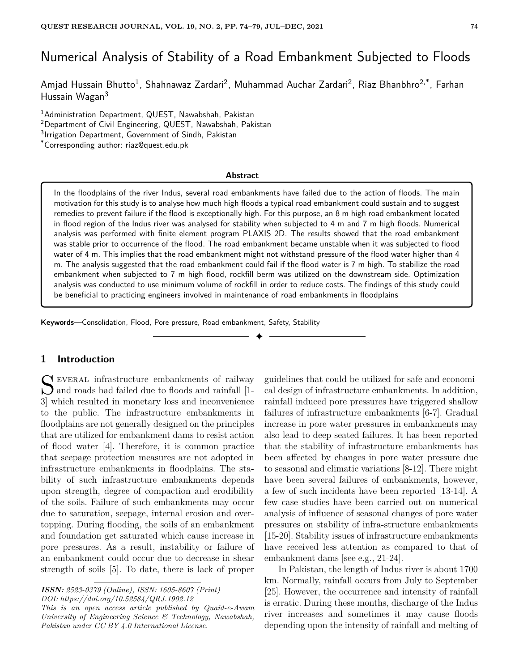# Numerical Analysis of Stability of a Road Embankment Subjected to Floods

Amjad Hussain Bhutto<sup>1</sup>, Shahnawaz Zardari<sup>2</sup>, Muhammad Auchar Zardari<sup>2</sup>, Riaz Bhanbhro<sup>2,\*</sup>, Farhan Hussain Wagan<sup>3</sup>

<sup>1</sup> Administration Department, QUEST, Nawabshah, Pakistan <sup>2</sup>Department of Civil Engineering, QUEST, Nawabshah, Pakistan <sup>3</sup>Irrigation Department, Government of Sindh, Pakistan

\*Corresponding author: riaz@quest.edu.pk

#### **Abstract**

In the floodplains of the river Indus, several road embankments have failed due to the action of floods. The main motivation for this study is to analyse how much high floods a typical road embankment could sustain and to suggest remedies to prevent failure if the flood is exceptionally high. For this purpose, an 8 m high road embankment located in flood region of the Indus river was analysed for stability when subjected to 4 m and 7 m high floods. Numerical analysis was performed with finite element program PLAXIS 2D. The results showed that the road embankment was stable prior to occurrence of the flood. The road embankment became unstable when it was subjected to flood water of 4 m. This implies that the road embankment might not withstand pressure of the flood water higher than 4 m. The analysis suggested that the road embankment could fail if the flood water is 7 m high. To stabilize the road embankment when subjected to 7 m high flood, rockfill berm was utilized on the downstream side. Optimization analysis was conducted to use minimum volume of rockfill in order to reduce costs. The findings of this study could be beneficial to practicing engineers involved in maintenance of road embankments in floodplains

✦

**Keywords**—Consolidation, Flood, Pore pressure, Road embankment, Safety, Stability

## **1 Introduction**

S EVERAL infrastructure embankments of railway<br>and roads had failed due to floods and rainfall [1-<br>algebra]  $\bigcup$  and roads had failed due to floods and rainfall [1-3] which resulted in monetary loss and inconvenience to the public. The infrastructure embankments in floodplains are not generally designed on the principles that are utilized for embankment dams to resist action of flood water [4]. Therefore, it is common practice that seepage protection measures are not adopted in infrastructure embankments in floodplains. The stability of such infrastructure embankments depends upon strength, degree of compaction and erodibility of the soils. Failure of such embankments may occur due to saturation, seepage, internal erosion and overtopping. During flooding, the soils of an embankment and foundation get saturated which cause increase in pore pressures. As a result, instability or failure of an embankment could occur due to decrease in shear strength of soils [5]. To date, there is lack of proper

*ISSN: 2523-0379 (Online), ISSN: 1605-8607 (Print) DOI: https://doi.org/10.52584/QRJ.1902.12*

*This is an open access article published by Quaid-e-Awam University of Engineering Science & Technology, Nawabshah, Pakistan under CC BY 4.0 International License.*

guidelines that could be utilized for safe and economical design of infrastructure embankments. In addition, rainfall induced pore pressures have triggered shallow failures of infrastructure embankments [6-7]. Gradual increase in pore water pressures in embankments may also lead to deep seated failures. It has been reported that the stability of infrastructure embankments has been affected by changes in pore water pressure due to seasonal and climatic variations [8-12]. There might have been several failures of embankments, however, a few of such incidents have been reported [13-14]. A few case studies have been carried out on numerical analysis of influence of seasonal changes of pore water pressures on stability of infra-structure embankments [15-20]. Stability issues of infrastructure embankments have received less attention as compared to that of embankment dams [see e.g., 21-24].

In Pakistan, the length of Indus river is about 1700 km. Normally, rainfall occurs from July to September [25]. However, the occurrence and intensity of rainfall is erratic. During these months, discharge of the Indus river increases and sometimes it may cause floods depending upon the intensity of rainfall and melting of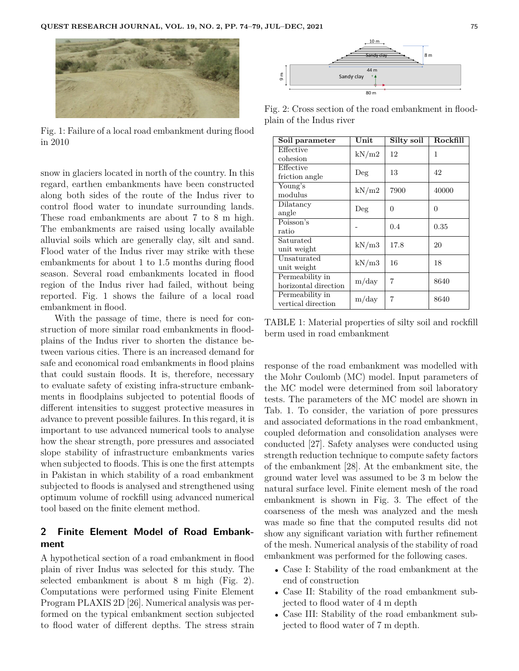

Fig. 1: Failure of a local road embankment during flood in 2010

snow in glaciers located in north of the country. In this regard, earthen embankments have been constructed along both sides of the route of the Indus river to control flood water to inundate surrounding lands. These road embankments are about 7 to 8 m high. The embankments are raised using locally available alluvial soils which are generally clay, silt and sand. Flood water of the Indus river may strike with these embankments for about 1 to 1.5 months during flood season. Several road embankments located in flood region of the Indus river had failed, without being reported. Fig. 1 shows the failure of a local road embankment in flood.

With the passage of time, there is need for construction of more similar road embankments in floodplains of the Indus river to shorten the distance between various cities. There is an increased demand for safe and economical road embankments in flood plains that could sustain floods. It is, therefore, necessary to evaluate safety of existing infra-structure embankments in floodplains subjected to potential floods of different intensities to suggest protective measures in advance to prevent possible failures. In this regard, it is important to use advanced numerical tools to analyse how the shear strength, pore pressures and associated slope stability of infrastructure embankments varies when subjected to floods. This is one the first attempts in Pakistan in which stability of a road embankment subjected to floods is analysed and strengthened using optimum volume of rockfill using advanced numerical tool based on the finite element method.

# **2 Finite Element Model of Road Embankment**

A hypothetical section of a road embankment in flood plain of river Indus was selected for this study. The selected embankment is about 8 m high (Fig. 2). Computations were performed using Finite Element Program PLAXIS 2D [26]. Numerical analysis was performed on the typical embankment section subjected to flood water of different depths. The stress strain



Fig. 2: Cross section of the road embankment in floodplain of the Indus river

| Soil parameter       | $\bold{Unit}$ | Silty soil | Rockfill |
|----------------------|---------------|------------|----------|
| Effective            | kN/m2         | 12         | 1        |
| cohesion             |               |            |          |
| Effective            | $\rm Deg$     | 13         | 42       |
| friction angle       |               |            |          |
| Young's              | kN/m2         | 7900       | 40000    |
| modulus              |               |            |          |
| Dilatancy            | $\rm Deg$     | 0          | 0        |
| angle                |               |            |          |
| Poisson's            |               | 0.4        | 0.35     |
| ratio                |               |            |          |
| Saturated            | kN/m3         | 17.8       | 20       |
| unit weight          |               |            |          |
| Unsaturated          | kN/m3         | 16         | 18       |
| unit weight          |               |            |          |
| Permeability in      | m/day         | 7          | 8640     |
| horizontal direction |               |            |          |
| Permeability in      | m/day         | 7          | 8640     |
| vertical direction   |               |            |          |

TABLE 1: Material properties of silty soil and rockfill berm used in road embankment

response of the road embankment was modelled with the Mohr Coulomb (MC) model. Input parameters of the MC model were determined from soil laboratory tests. The parameters of the MC model are shown in Tab. 1. To consider, the variation of pore pressures and associated deformations in the road embankment, coupled deformation and consolidation analyses were conducted [27]. Safety analyses were conducted using strength reduction technique to compute safety factors of the embankment [28]. At the embankment site, the ground water level was assumed to be 3 m below the natural surface level. Finite element mesh of the road embankment is shown in Fig. 3. The effect of the coarseness of the mesh was analyzed and the mesh was made so fine that the computed results did not show any significant variation with further refinement of the mesh. Numerical analysis of the stability of road embankment was performed for the following cases.

- Case I: Stability of the road embankment at the end of construction
- Case II: Stability of the road embankment subjected to flood water of 4 m depth
- Case III: Stability of the road embankment subjected to flood water of 7 m depth.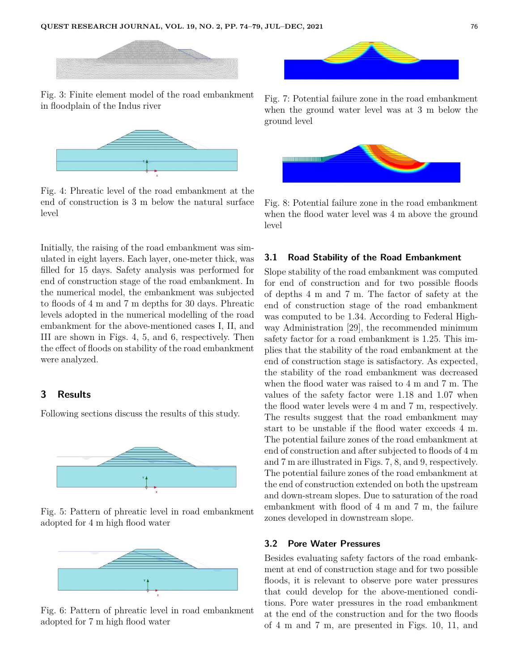

Fig. 3: Finite element model of the road embankment in floodplain of the Indus river



Fig. 4: Phreatic level of the road embankment at the end of construction is 3 m below the natural surface level

Initially, the raising of the road embankment was simulated in eight layers. Each layer, one-meter thick, was filled for 15 days. Safety analysis was performed for end of construction stage of the road embankment. In the numerical model, the embankment was subjected to floods of 4 m and 7 m depths for 30 days. Phreatic levels adopted in the numerical modelling of the road embankment for the above-mentioned cases I, II, and III are shown in Figs. 4, 5, and 6, respectively. Then the effect of floods on stability of the road embankment were analyzed.

## **3 Results**

Following sections discuss the results of this study.



Fig. 5: Pattern of phreatic level in road embankment adopted for 4 m high flood water



Fig. 6: Pattern of phreatic level in road embankment adopted for 7 m high flood water



Fig. 7: Potential failure zone in the road embankment when the ground water level was at 3 m below the ground level



Fig. 8: Potential failure zone in the road embankment when the flood water level was 4 m above the ground level

## **3.1 Road Stability of the Road Embankment**

Slope stability of the road embankment was computed for end of construction and for two possible floods of depths 4 m and 7 m. The factor of safety at the end of construction stage of the road embankment was computed to be 1.34. According to Federal Highway Administration [29], the recommended minimum safety factor for a road embankment is 1.25. This implies that the stability of the road embankment at the end of construction stage is satisfactory. As expected, the stability of the road embankment was decreased when the flood water was raised to 4 m and 7 m. The values of the safety factor were 1.18 and 1.07 when the flood water levels were 4 m and 7 m, respectively. The results suggest that the road embankment may start to be unstable if the flood water exceeds 4 m. The potential failure zones of the road embankment at end of construction and after subjected to floods of 4 m and 7 m are illustrated in Figs. 7, 8, and 9, respectively. The potential failure zones of the road embankment at the end of construction extended on both the upstream and down-stream slopes. Due to saturation of the road embankment with flood of 4 m and 7 m, the failure zones developed in downstream slope.

#### **3.2 Pore Water Pressures**

Besides evaluating safety factors of the road embankment at end of construction stage and for two possible floods, it is relevant to observe pore water pressures that could develop for the above-mentioned conditions. Pore water pressures in the road embankment at the end of the construction and for the two floods of 4 m and 7 m, are presented in Figs. 10, 11, and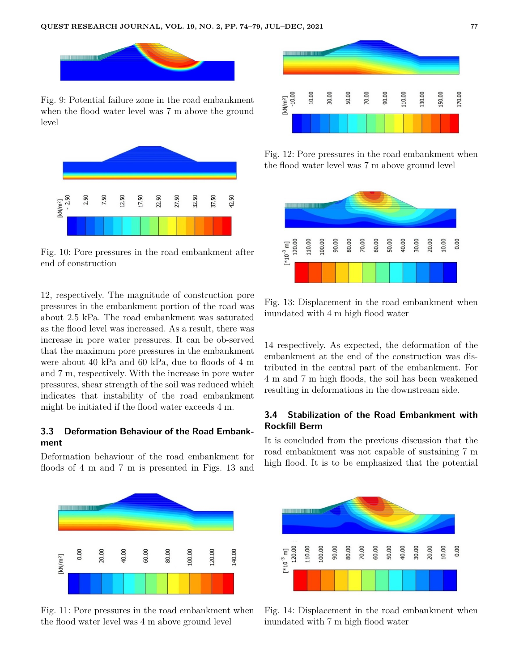

Fig. 9: Potential failure zone in the road embankment when the flood water level was 7 m above the ground level



Fig. 10: Pore pressures in the road embankment after end of construction

12, respectively. The magnitude of construction pore pressures in the embankment portion of the road was about 2.5 kPa. The road embankment was saturated as the flood level was increased. As a result, there was increase in pore water pressures. It can be ob-served that the maximum pore pressures in the embankment were about 40 kPa and 60 kPa, due to floods of 4 m and 7 m, respectively. With the increase in pore water pressures, shear strength of the soil was reduced which indicates that instability of the road embankment might be initiated if the flood water exceeds 4 m.

# **3.3 Deformation Behaviour of the Road Embankment**

Deformation behaviour of the road embankment for floods of 4 m and 7 m is presented in Figs. 13 and



Fig. 11: Pore pressures in the road embankment when the flood water level was 4 m above ground level



Fig. 12: Pore pressures in the road embankment when the flood water level was 7 m above ground level



Fig. 13: Displacement in the road embankment when inundated with 4 m high flood water

14 respectively. As expected, the deformation of the embankment at the end of the construction was distributed in the central part of the embankment. For 4 m and 7 m high floods, the soil has been weakened resulting in deformations in the downstream side.

# **3.4 Stabilization of the Road Embankment with Rockfill Berm**

It is concluded from the previous discussion that the road embankment was not capable of sustaining 7 m high flood. It is to be emphasized that the potential



Fig. 14: Displacement in the road embankment when inundated with 7 m high flood water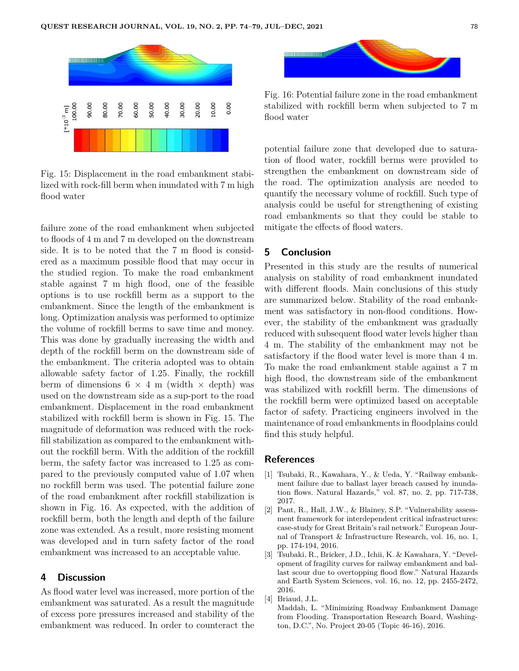

Fig. 15: Displacement in the road embankment stabilized with rock-fill berm when inundated with 7 m high flood water

failure zone of the road embankment when subjected to floods of 4 m and 7 m developed on the downstream side. It is to be noted that the 7 m flood is considered as a maximum possible flood that may occur in the studied region. To make the road embankment stable against 7 m high flood, one of the feasible options is to use rockfill berm as a support to the embankment. Since the length of the embankment is long. Optimization analysis was performed to optimize the volume of rockfill berms to save time and money. This was done by gradually increasing the width and depth of the rockfill berm on the downstream side of the embankment. The criteria adopted was to obtain allowable safety factor of 1.25. Finally, the rockfill berm of dimensions  $6 \times 4$  m (width  $\times$  depth) was used on the downstream side as a sup-port to the road embankment. Displacement in the road embankment stabilized with rockfill berm is shown in Fig. 15. The magnitude of deformation was reduced with the rockfill stabilization as compared to the embankment without the rockfill berm. With the addition of the rockfill berm, the safety factor was increased to 1.25 as compared to the previously computed value of 1.07 when no rockfill berm was used. The potential failure zone of the road embankment after rockfill stabilization is shown in Fig. 16. As expected, with the addition of rockfill berm, both the length and depth of the failure zone was extended. As a result, more resisting moment was developed and in turn safety factor of the road embankment was increased to an acceptable value.

## **4 Discussion**

As flood water level was increased, more portion of the embankment was saturated. As a result the magnitude of excess pore pressures increased and stability of the embankment was reduced. In order to counteract the



Fig. 16: Potential failure zone in the road embankment stabilized with rockfill berm when subjected to 7 m flood water

potential failure zone that developed due to saturation of flood water, rockfill berms were provided to strengthen the embankment on downstream side of the road. The optimization analysis are needed to quantify the necessary volume of rockfill. Such type of analysis could be useful for strengthening of existing road embankments so that they could be stable to mitigate the effects of flood waters.

## **5 Conclusion**

Presented in this study are the results of numerical analysis on stability of road embankment inundated with different floods. Main conclusions of this study are summarized below. Stability of the road embankment was satisfactory in non-flood conditions. However, the stability of the embankment was gradually reduced with subsequent flood water levels higher than 4 m. The stability of the embankment may not be satisfactory if the flood water level is more than 4 m. To make the road embankment stable against a 7 m high flood, the downstream side of the embankment was stabilized with rockfill berm. The dimensions of the rockfill berm were optimized based on acceptable factor of safety. Practicing engineers involved in the maintenance of road embankments in floodplains could find this study helpful.

## **References**

- [1] Tsubaki, R., Kawahara, Y., & Ueda, Y. "Railway embankment failure due to ballast layer breach caused by inundation flows. Natural Hazards," vol. 87, no. 2, pp. 717-738, 2017.
- [2] Pant, R., Hall, J.W., & Blainey, S.P. "Vulnerability assessment framework for interdependent critical infrastructures: case-study for Great Britain's rail network." European Journal of Transport & Infrastructure Research, vol. 16, no. 1, pp. 174-194, 2016.
- [3] Tsubaki, R., Bricker, J.D., Ichii, K. & Kawahara, Y. "Development of fragility curves for railway embankment and ballast scour due to overtopping flood flow." Natural Hazards and Earth System Sciences, vol. 16, no. 12, pp. 2455-2472, 2016.
- [4] Briaud, J.L.
	- Maddah, L. "Minimizing Roadway Embankment Damage from Flooding. Transportation Research Board, Washington, D.C.", No. Project 20-05 (Topic 46-16), 2016.